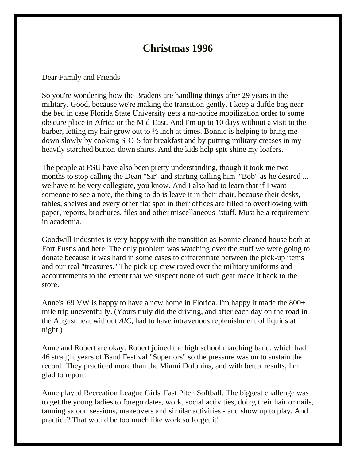## **Christmas 1996**

## Dear Family and Friends

So you're wondering how the Bradens are handling things after 29 years in the military. Good, because we're making the transition gently. I keep a duftle bag near the bed in case Florida State University gets a no-notice mobilization order to some obscure place in Africa or the Mid-East. And I'm up to 10 days without a visit to the barber, letting my hair grow out to ½ inch at times. Bonnie is helping to bring me down slowly by cooking S-O-S for breakfast and by putting military creases in my heavily starched button-down shirts. And the kids help spit-shine my loafers.

The people at FSU have also been pretty understanding, though it took me two months to stop calling the Dean "Sir" and starting calling him "'Bob" as he desired ... we have to be very collegiate, you know. And I also had to learn that if I want someone to see a note, the thing to do is leave it in their chair, because their desks, tables, shelves and every other flat spot in their offices are filled to overflowing with paper, reports, brochures, files and other miscellaneous "stuff. Must be a requirement in academia.

Goodwill Industries is very happy with the transition as Bonnie cleaned house both at Fort Eustis and here. The only problem was watching over the stuff we were going to donate because it was hard in some cases to differentiate between the pick-up items and our real "treasures." The pick-up crew raved over the military uniforms and accoutrements to the extent that we suspect none of such gear made it back to the store.

Anne's '69 VW is happy to have a new home in Florida. I'm happy it made the 800+ mile trip uneventfully. (Yours truly did the driving, and after each day on the road in the August heat without *AlC,* had to have intravenous replenishment of liquids at night.)

Anne and Robert are okay. Robert joined the high school marching band, which had 46 straight years of Band Festival "Superiors" so the pressure was on to sustain the record. They practiced more than the Miami Dolphins, and with better results, I'm glad to report.

Anne played Recreation League Girls' Fast Pitch Softball. The biggest challenge was to get the young ladies to forego dates, work, social activities, doing their hair or nails, tanning saloon sessions, makeovers and similar activities - and show up to play. And practice? That would be too much like work so forget it!